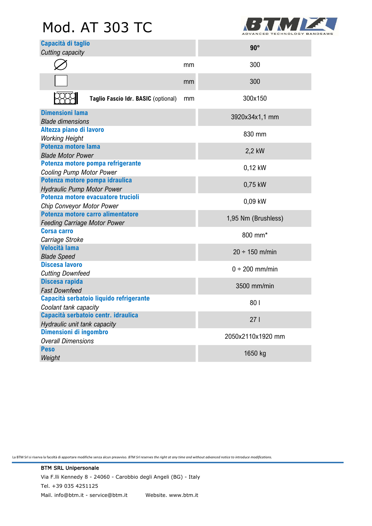# Mod. AT 303 TC



| Capacità di taglio<br>Cutting capacity                                   |    | $90^\circ$          |
|--------------------------------------------------------------------------|----|---------------------|
|                                                                          | mm | 300                 |
|                                                                          | mm | 300                 |
| Taglio Fascio Idr. BASIC (optional)                                      | mm | 300x150             |
| <b>Dimensioni lama</b><br><b>Blade dimensions</b>                        |    | 3920x34x1,1 mm      |
| Altezza piano di lavoro<br><b>Working Height</b>                         |    | 830 mm              |
| <b>Potenza motore lama</b><br><b>Blade Motor Power</b>                   |    | 2,2 kW              |
| Potenza motore pompa refrigerante<br><b>Cooling Pump Motor Power</b>     |    | 0,12 kW             |
| Potenza motore pompa idraulica<br><b>Hydraulic Pump Motor Power</b>      |    | 0,75 kW             |
| Potenza motore evacuatore trucioli<br>Chip Conveyor Motor Power          |    | 0,09 kW             |
| Potenza motore carro alimentatore<br><b>Feeding Carriage Motor Power</b> |    | 1,95 Nm (Brushless) |
| <b>Corsa carro</b><br>Carriage Stroke                                    |    | 800 mm*             |
| <b>Velocità lama</b><br><b>Blade Speed</b>                               |    | $20 \div 150$ m/min |
| <b>Discesa lavoro</b><br><b>Cutting Downfeed</b>                         |    | $0 \div 200$ mm/min |
| Discesa rapida<br><b>Fast Downfeed</b>                                   |    | 3500 mm/min         |
| Capacità serbatoio liquido refrigerante<br>Coolant tank capacity         |    | 801                 |
| Capacità serbatoio centr. idraulica<br>Hydraulic unit tank capacity      |    | 271                 |
| Dimensioni di ingombro<br><b>Overall Dimensions</b>                      |    | 2050x2110x1920 mm   |
| <b>Peso</b><br>Weight                                                    |    | 1650 kg             |
|                                                                          |    |                     |

La BTM Srl si riserva la facoltà di apportare modifiche senza alcun preavviso. *BTM Srl reserves the right at any time and without advanced notice to introduce modifications.*